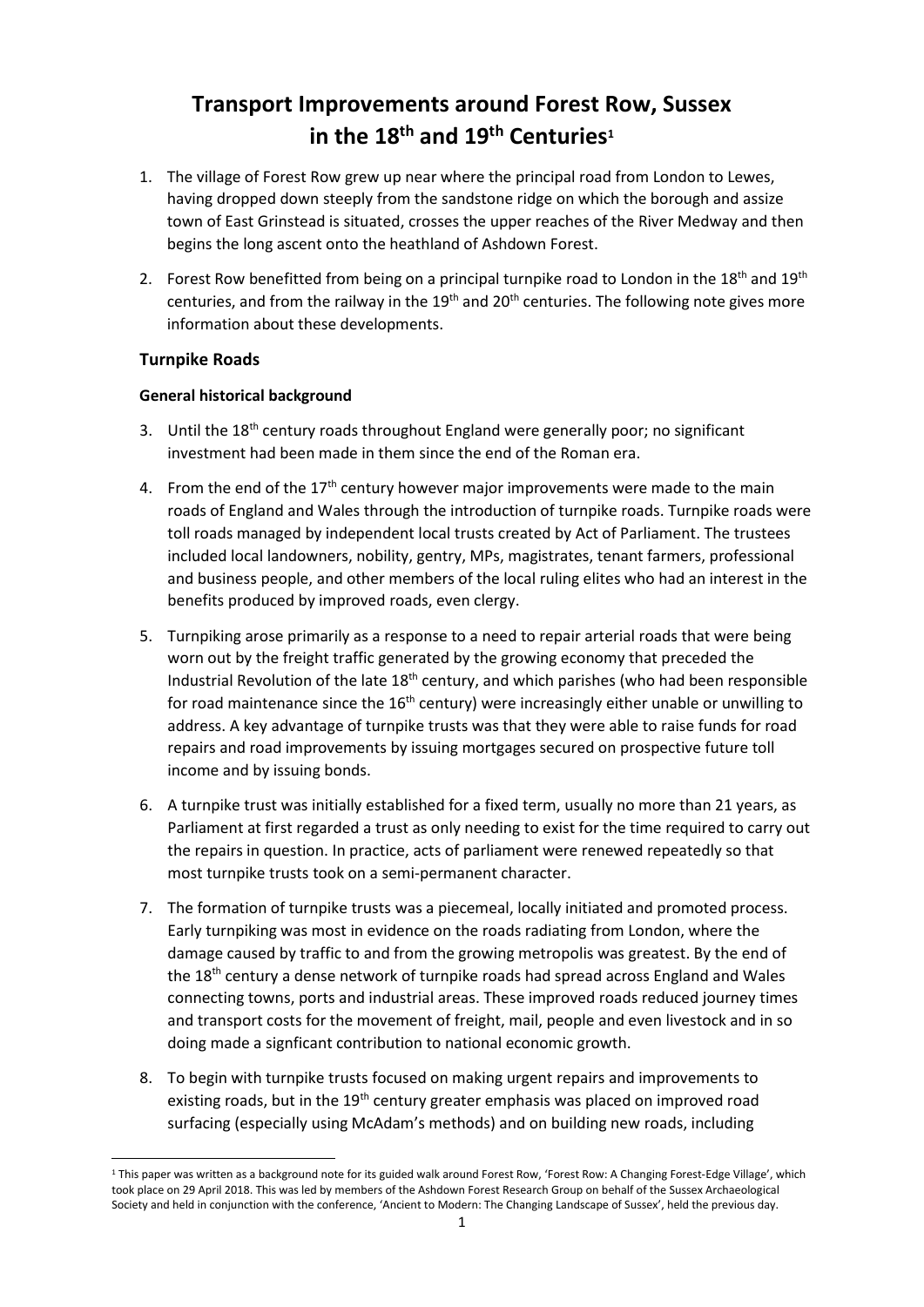# **Transport Improvements around Forest Row, Sussex in the 18th and 19th Centuries<sup>1</sup>**

- 1. The village of Forest Row grew up near where the principal road from London to Lewes, having dropped down steeply from the sandstone ridge on which the borough and assize town of East Grinstead is situated, crosses the upper reaches of the River Medway and then begins the long ascent onto the heathland of Ashdown Forest.
- 2. Forest Row benefitted from being on a principal turnpike road to London in the  $18<sup>th</sup>$  and  $19<sup>th</sup>$ centuries, and from the railway in the  $19<sup>th</sup>$  and  $20<sup>th</sup>$  centuries. The following note gives more information about these developments.

# **Turnpike Roads**

**.** 

# **General historical background**

- 3. Until the 18<sup>th</sup> century roads throughout England were generally poor; no significant investment had been made in them since the end of the Roman era.
- 4. From the end of the  $17<sup>th</sup>$  century however major improvements were made to the main roads of England and Wales through the introduction of turnpike roads. Turnpike roads were toll roads managed by independent local trusts created by Act of Parliament. The trustees included local landowners, nobility, gentry, MPs, magistrates, tenant farmers, professional and business people, and other members of the local ruling elites who had an interest in the benefits produced by improved roads, even clergy.
- 5. Turnpiking arose primarily as a response to a need to repair arterial roads that were being worn out by the freight traffic generated by the growing economy that preceded the Industrial Revolution of the late 18<sup>th</sup> century, and which parishes (who had been responsible for road maintenance since the  $16<sup>th</sup>$  century) were increasingly either unable or unwilling to address. A key advantage of turnpike trusts was that they were able to raise funds for road repairs and road improvements by issuing mortgages secured on prospective future toll income and by issuing bonds.
- 6. A turnpike trust was initially established for a fixed term, usually no more than 21 years, as Parliament at first regarded a trust as only needing to exist for the time required to carry out the repairs in question. In practice, acts of parliament were renewed repeatedly so that most turnpike trusts took on a semi-permanent character.
- 7. The formation of turnpike trusts was a piecemeal, locally initiated and promoted process. Early turnpiking was most in evidence on the roads radiating from London, where the damage caused by traffic to and from the growing metropolis was greatest. By the end of the 18<sup>th</sup> century a dense network of turnpike roads had spread across England and Wales connecting towns, ports and industrial areas. These improved roads reduced journey times and transport costs for the movement of freight, mail, people and even livestock and in so doing made a signficant contribution to national economic growth.
- 8. To begin with turnpike trusts focused on making urgent repairs and improvements to existing roads, but in the  $19<sup>th</sup>$  century greater emphasis was placed on improved road surfacing (especially using McAdam's methods) and on building new roads, including

<sup>&</sup>lt;sup>1</sup> This paper was written as a background note for its guided walk around Forest Row, 'Forest Row: A Changing Forest-Edge Village', which took place on 29 April 2018. This was led by members of the Ashdown Forest Research Group on behalf of the Sussex Archaeological Society and held in conjunction with the conference, 'Ancient to Modern: The Changing Landscape of Sussex', held the previous day.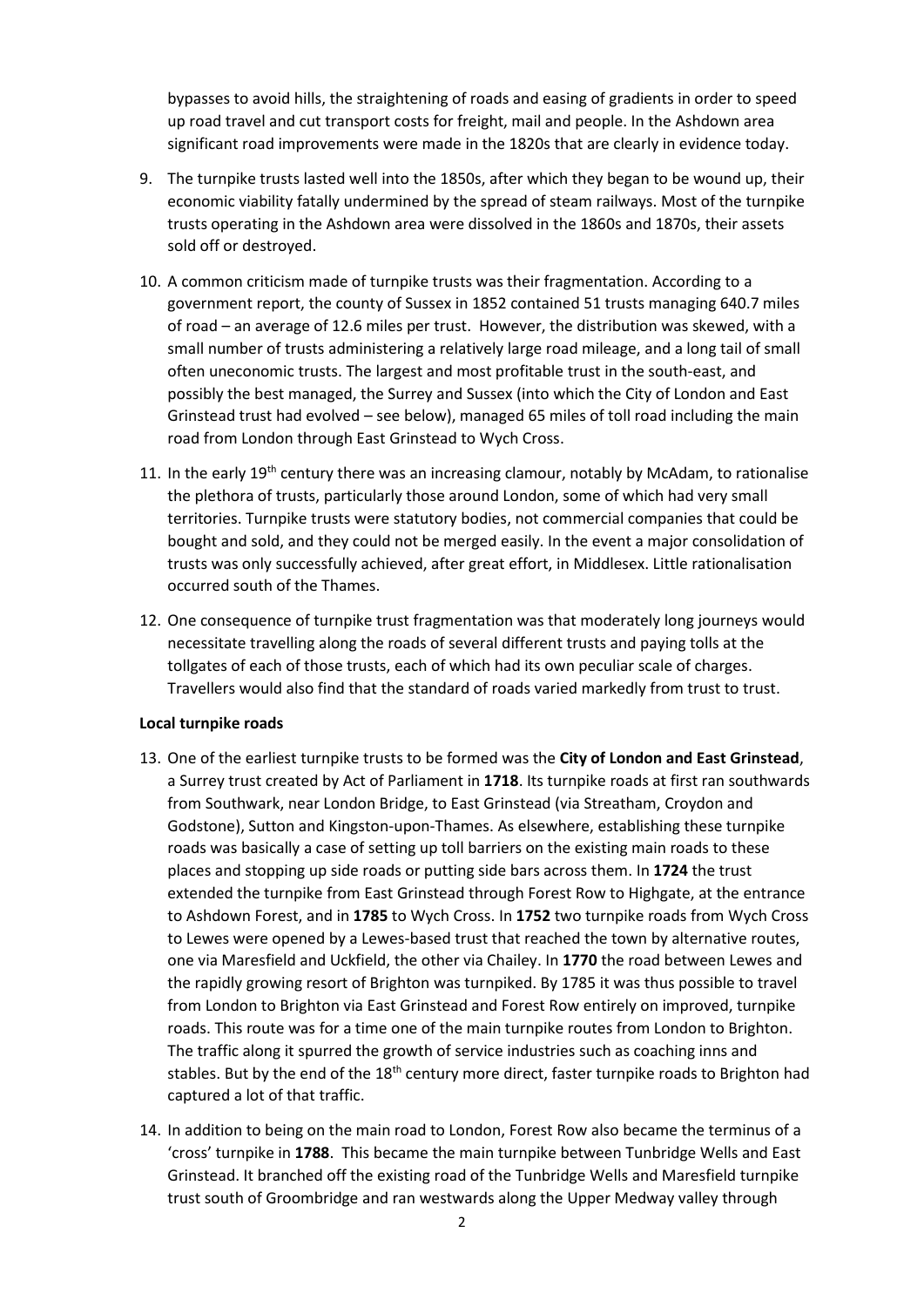bypasses to avoid hills, the straightening of roads and easing of gradients in order to speed up road travel and cut transport costs for freight, mail and people. In the Ashdown area significant road improvements were made in the 1820s that are clearly in evidence today.

- 9. The turnpike trusts lasted well into the 1850s, after which they began to be wound up, their economic viability fatally undermined by the spread of steam railways. Most of the turnpike trusts operating in the Ashdown area were dissolved in the 1860s and 1870s, their assets sold off or destroyed.
- 10. A common criticism made of turnpike trusts was their fragmentation. According to a government report, the county of Sussex in 1852 contained 51 trusts managing 640.7 miles of road – an average of 12.6 miles per trust. However, the distribution was skewed, with a small number of trusts administering a relatively large road mileage, and a long tail of small often uneconomic trusts. The largest and most profitable trust in the south-east, and possibly the best managed, the Surrey and Sussex (into which the City of London and East Grinstead trust had evolved – see below), managed 65 miles of toll road including the main road from London through East Grinstead to Wych Cross.
- 11. In the early 19<sup>th</sup> century there was an increasing clamour, notably by McAdam, to rationalise the plethora of trusts, particularly those around London, some of which had very small territories. Turnpike trusts were statutory bodies, not commercial companies that could be bought and sold, and they could not be merged easily. In the event a major consolidation of trusts was only successfully achieved, after great effort, in Middlesex. Little rationalisation occurred south of the Thames.
- 12. One consequence of turnpike trust fragmentation was that moderately long journeys would necessitate travelling along the roads of several different trusts and paying tolls at the tollgates of each of those trusts, each of which had its own peculiar scale of charges. Travellers would also find that the standard of roads varied markedly from trust to trust.

#### **Local turnpike roads**

- 13. One of the earliest turnpike trusts to be formed was the **City of London and East Grinstead**, a Surrey trust created by Act of Parliament in **1718**. Its turnpike roads at first ran southwards from Southwark, near London Bridge, to East Grinstead (via Streatham, Croydon and Godstone), Sutton and Kingston-upon-Thames. As elsewhere, establishing these turnpike roads was basically a case of setting up toll barriers on the existing main roads to these places and stopping up side roads or putting side bars across them. In **1724** the trust extended the turnpike from East Grinstead through Forest Row to Highgate, at the entrance to Ashdown Forest, and in **1785** to Wych Cross. In **1752** two turnpike roads from Wych Cross to Lewes were opened by a Lewes-based trust that reached the town by alternative routes, one via Maresfield and Uckfield, the other via Chailey. In **1770** the road between Lewes and the rapidly growing resort of Brighton was turnpiked. By 1785 it was thus possible to travel from London to Brighton via East Grinstead and Forest Row entirely on improved, turnpike roads. This route was for a time one of the main turnpike routes from London to Brighton. The traffic along it spurred the growth of service industries such as coaching inns and stables. But by the end of the  $18<sup>th</sup>$  century more direct, faster turnpike roads to Brighton had captured a lot of that traffic.
- 14. In addition to being on the main road to London, Forest Row also became the terminus of a 'cross' turnpike in **1788**. This became the main turnpike between Tunbridge Wells and East Grinstead. It branched off the existing road of the Tunbridge Wells and Maresfield turnpike trust south of Groombridge and ran westwards along the Upper Medway valley through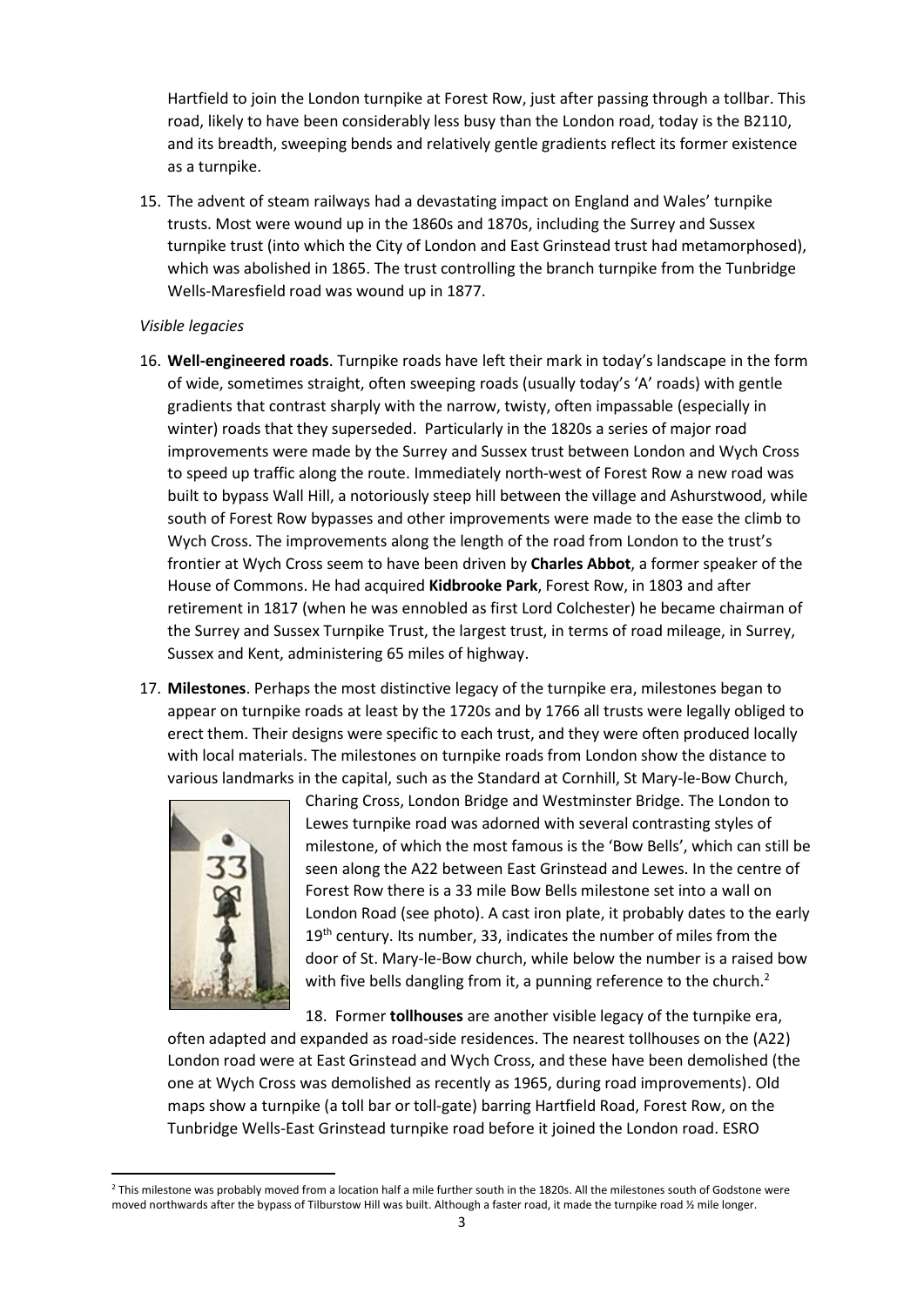Hartfield to join the London turnpike at Forest Row, just after passing through a tollbar. This road, likely to have been considerably less busy than the London road, today is the B2110, and its breadth, sweeping bends and relatively gentle gradients reflect its former existence as a turnpike.

15. The advent of steam railways had a devastating impact on England and Wales' turnpike trusts. Most were wound up in the 1860s and 1870s, including the Surrey and Sussex turnpike trust (into which the City of London and East Grinstead trust had metamorphosed), which was abolished in 1865. The trust controlling the branch turnpike from the Tunbridge Wells-Maresfield road was wound up in 1877.

### *Visible legacies*

- 16. **Well-engineered roads**. Turnpike roads have left their mark in today's landscape in the form of wide, sometimes straight, often sweeping roads (usually today's 'A' roads) with gentle gradients that contrast sharply with the narrow, twisty, often impassable (especially in winter) roads that they superseded. Particularly in the 1820s a series of major road improvements were made by the Surrey and Sussex trust between London and Wych Cross to speed up traffic along the route. Immediately north-west of Forest Row a new road was built to bypass Wall Hill, a notoriously steep hill between the village and Ashurstwood, while south of Forest Row bypasses and other improvements were made to the ease the climb to Wych Cross. The improvements along the length of the road from London to the trust's frontier at Wych Cross seem to have been driven by **Charles Abbot**, a former speaker of the House of Commons. He had acquired **Kidbrooke Park**, Forest Row, in 1803 and after retirement in 1817 (when he was ennobled as first Lord Colchester) he became chairman of the Surrey and Sussex Turnpike Trust, the largest trust, in terms of road mileage, in Surrey, Sussex and Kent, administering 65 miles of highway.
- 17. **Milestones**. Perhaps the most distinctive legacy of the turnpike era, milestones began to appear on turnpike roads at least by the 1720s and by 1766 all trusts were legally obliged to erect them. Their designs were specific to each trust, and they were often produced locally with local materials. The milestones on turnpike roads from London show the distance to various landmarks in the capital, such as the Standard at Cornhill, St Mary-le-Bow Church,



**.** 

Charing Cross, London Bridge and Westminster Bridge. The London to Lewes turnpike road was adorned with several contrasting styles of milestone, of which the most famous is the 'Bow Bells', which can still be seen along the A22 between East Grinstead and Lewes. In the centre of Forest Row there is a 33 mile Bow Bells milestone set into a wall on London Road (see photo). A cast iron plate, it probably dates to the early  $19<sup>th</sup>$  century. Its number, 33, indicates the number of miles from the door of St. Mary-le-Bow church, while below the number is a raised bow with five bells dangling from it, a punning reference to the church.<sup>2</sup>

18. Former **tollhouses** are another visible legacy of the turnpike era,

often adapted and expanded as road-side residences. The nearest tollhouses on the (A22) London road were at East Grinstead and Wych Cross, and these have been demolished (the one at Wych Cross was demolished as recently as 1965, during road improvements). Old maps show a turnpike (a toll bar or toll-gate) barring Hartfield Road, Forest Row, on the Tunbridge Wells-East Grinstead turnpike road before it joined the London road. ESRO

<sup>&</sup>lt;sup>2</sup> This milestone was probably moved from a location half a mile further south in the 1820s. All the milestones south of Godstone were moved northwards after the bypass of Tilburstow Hill was built. Although a faster road, it made the turnpike road 1/2 mile longer.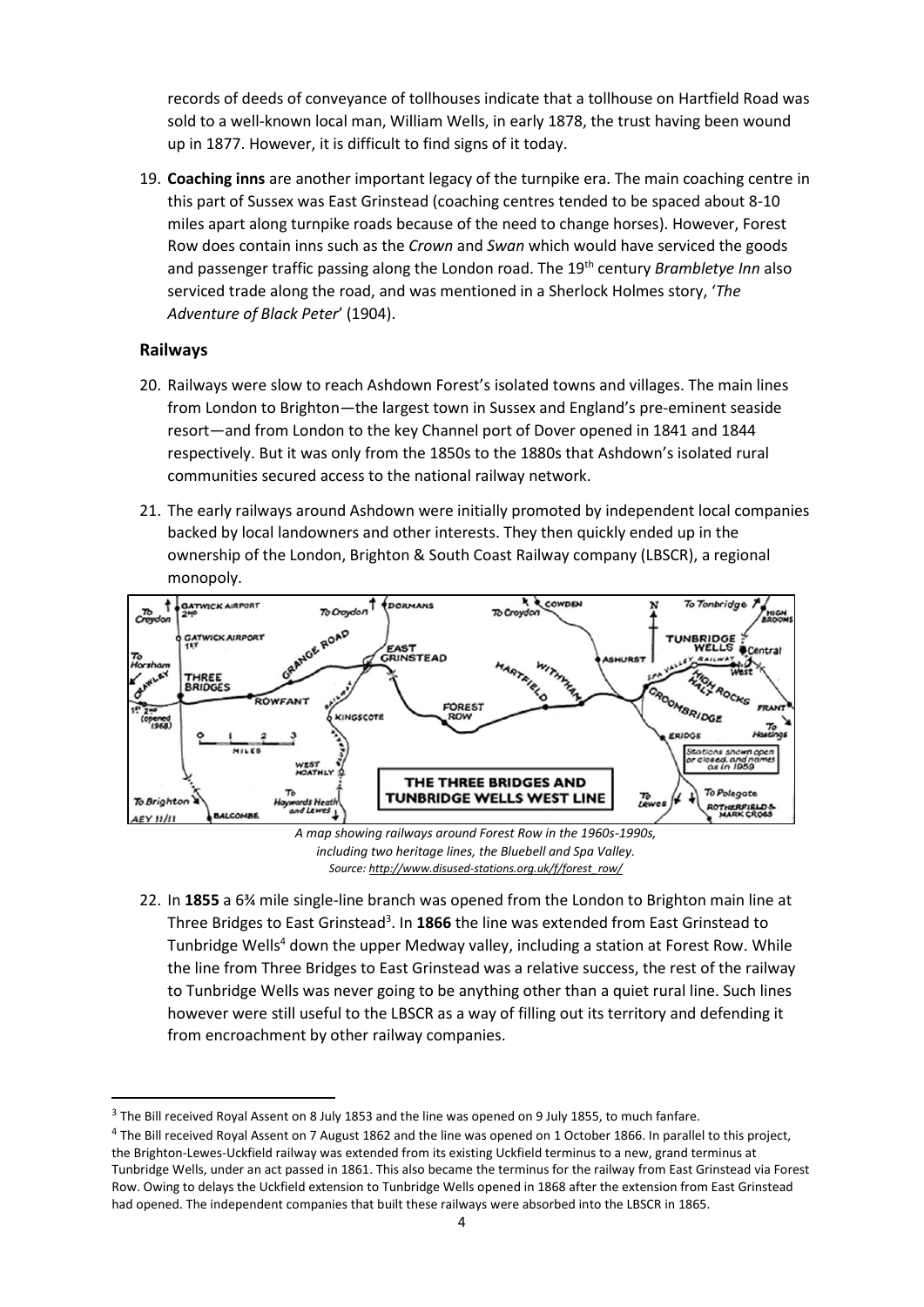records of deeds of conveyance of tollhouses indicate that a tollhouse on Hartfield Road was sold to a well-known local man, William Wells, in early 1878, the trust having been wound up in 1877. However, it is difficult to find signs of it today.

19. **Coaching inns** are another important legacy of the turnpike era. The main coaching centre in this part of Sussex was East Grinstead (coaching centres tended to be spaced about 8-10 miles apart along turnpike roads because of the need to change horses). However, Forest Row does contain inns such as the *Crown* and *Swan* which would have serviced the goods and passenger traffic passing along the London road. The 19th century *Brambletye Inn* also serviced trade along the road, and was mentioned in a Sherlock Holmes story, '*The Adventure of Black Peter*' (1904).

# **Railways**

**.** 

- 20. Railways were slow to reach Ashdown Forest's isolated towns and villages. The main lines from London to Brighton—the largest town in Sussex and England's pre-eminent seaside resort—and from London to the key Channel port of Dover opened in 1841 and 1844 respectively. But it was only from the 1850s to the 1880s that Ashdown's isolated rural communities secured access to the national railway network.
- 21. The early railways around Ashdown were initially promoted by independent local companies backed by local landowners and other interests. They then quickly ended up in the ownership of the London, Brighton & South Coast Railway company (LBSCR), a regional monopoly.



*including two heritage lines, the Bluebell and Spa Valley. Source: [http://www.disused-stations.org.uk/f/forest\\_row/](http://www.disused-stations.org.uk/f/forest_row/)*

22. In **1855** a 6¾ mile single-line branch was opened from the London to Brighton main line at Three Bridges to East Grinstead<sup>3</sup>. In 1866 the line was extended from East Grinstead to Tunbridge Wells<sup>4</sup> down the upper Medway valley, including a station at Forest Row. While the line from Three Bridges to East Grinstead was a relative success, the rest of the railway to Tunbridge Wells was never going to be anything other than a quiet rural line. Such lines however were still useful to the LBSCR as a way of filling out its territory and defending it from encroachment by other railway companies.

<sup>&</sup>lt;sup>3</sup> The Bill received Royal Assent on 8 July 1853 and the line was opened on 9 July 1855, to much fanfare.

<sup>&</sup>lt;sup>4</sup> The Bill received Royal Assent on 7 August 1862 and the line was opened on 1 October 1866. In parallel to this project, the Brighton-Lewes-Uckfield railway was extended from its existing Uckfield terminus to a new, grand terminus at Tunbridge Wells, under an act passed in 1861. This also became the terminus for the railway from East Grinstead via Forest Row. Owing to delays the Uckfield extension to Tunbridge Wells opened in 1868 after the extension from East Grinstead had opened. The independent companies that built these railways were absorbed into the LBSCR in 1865.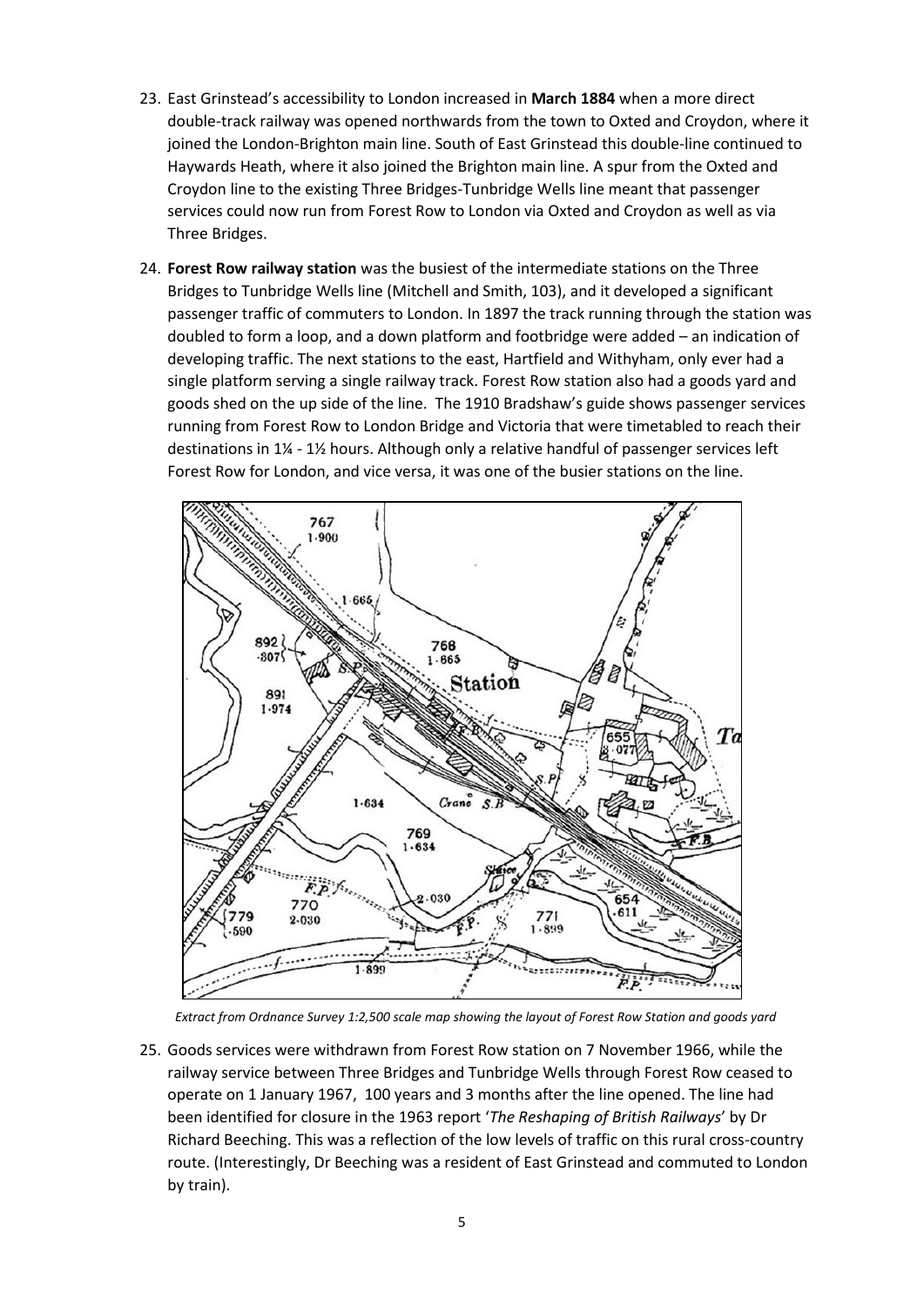- 23. East Grinstead's accessibility to London increased in **March 1884** when a more direct double-track railway was opened northwards from the town to Oxted and Croydon, where it joined the London-Brighton main line. South of East Grinstead this double-line continued to Haywards Heath, where it also joined the Brighton main line. A spur from the Oxted and Croydon line to the existing Three Bridges-Tunbridge Wells line meant that passenger services could now run from Forest Row to London via Oxted and Croydon as well as via Three Bridges.
- 24. **Forest Row railway station** was the busiest of the intermediate stations on the Three Bridges to Tunbridge Wells line (Mitchell and Smith, 103), and it developed a significant passenger traffic of commuters to London. In 1897 the track running through the station was doubled to form a loop, and a down platform and footbridge were added – an indication of developing traffic. The next stations to the east, Hartfield and Withyham, only ever had a single platform serving a single railway track. Forest Row station also had a goods yard and goods shed on the up side of the line. The 1910 Bradshaw's guide shows passenger services running from Forest Row to London Bridge and Victoria that were timetabled to reach their destinations in 1¼ - 1½ hours. Although only a relative handful of passenger services left Forest Row for London, and vice versa, it was one of the busier stations on the line.



*Extract from Ordnance Survey 1:2,500 scale map showing the layout of Forest Row Station and goods yard*

25. Goods services were withdrawn from Forest Row station on 7 November 1966, while the railway service between Three Bridges and Tunbridge Wells through Forest Row ceased to operate on 1 January 1967, 100 years and 3 months after the line opened. The line had been identified for closure in the 1963 report '*The Reshaping of British Railways*' by Dr Richard Beeching. This was a reflection of the low levels of traffic on this rural cross-country route. (Interestingly, Dr Beeching was a resident of East Grinstead and commuted to London by train).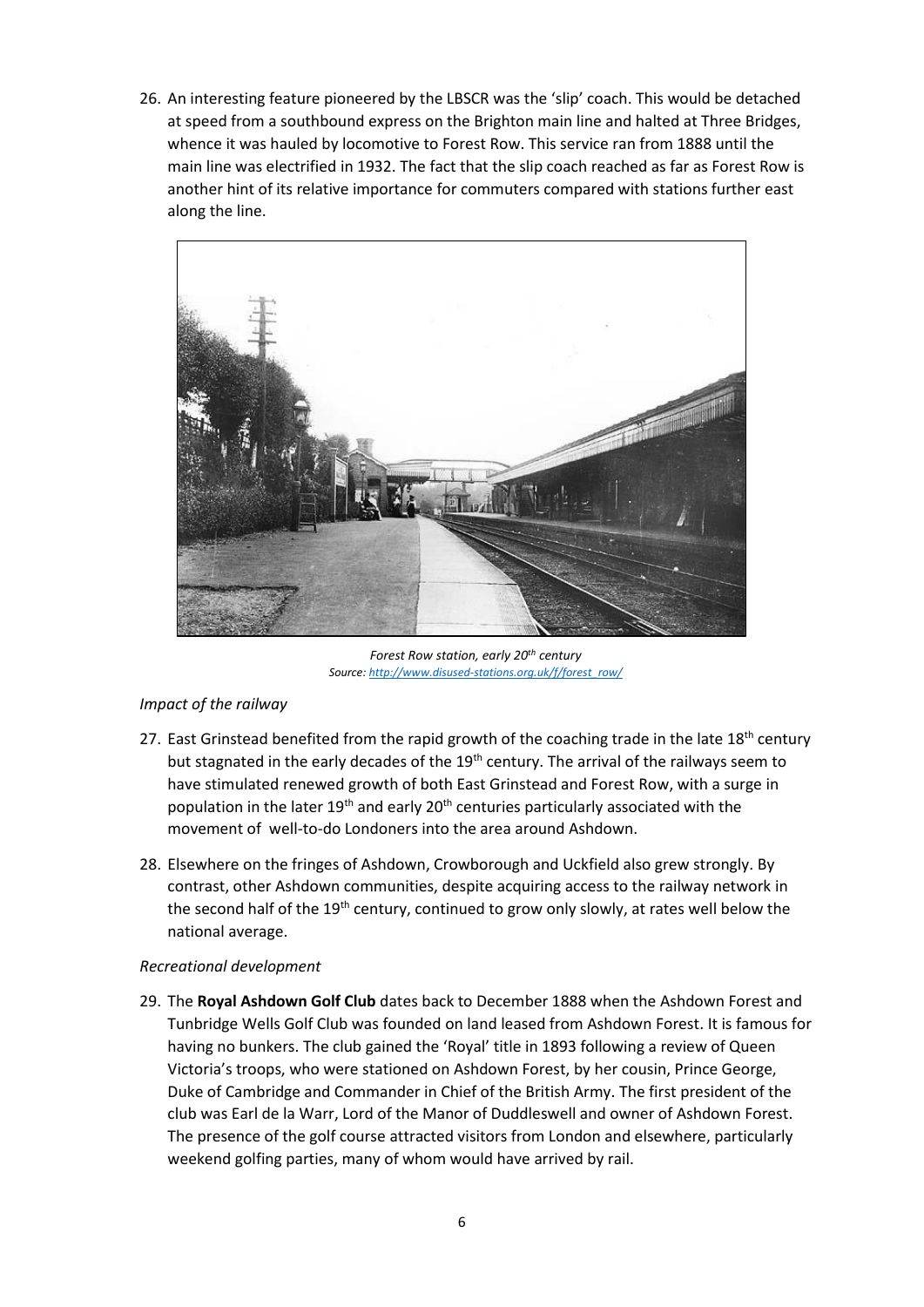26. An interesting feature pioneered by the LBSCR was the 'slip' coach. This would be detached at speed from a southbound express on the Brighton main line and halted at Three Bridges, whence it was hauled by locomotive to Forest Row. This service ran from 1888 until the main line was electrified in 1932. The fact that the slip coach reached as far as Forest Row is another hint of its relative importance for commuters compared with stations further east along the line.



*Forest Row station, early 20th century Source: [http://www.disused-stations.org.uk/f/forest\\_row/](http://www.disused-stations.org.uk/f/forest_row/)*

# *Impact of the railway*

- 27. East Grinstead benefited from the rapid growth of the coaching trade in the late  $18<sup>th</sup>$  century but stagnated in the early decades of the 19<sup>th</sup> century. The arrival of the railways seem to have stimulated renewed growth of both East Grinstead and Forest Row, with a surge in population in the later  $19<sup>th</sup>$  and early  $20<sup>th</sup>$  centuries particularly associated with the movement of well-to-do Londoners into the area around Ashdown.
- 28. Elsewhere on the fringes of Ashdown, Crowborough and Uckfield also grew strongly. By contrast, other Ashdown communities, despite acquiring access to the railway network in the second half of the 19<sup>th</sup> century, continued to grow only slowly, at rates well below the national average.

### *Recreational development*

29. The **Royal Ashdown Golf Club** dates back to December 1888 when the Ashdown Forest and Tunbridge Wells Golf Club was founded on land leased from Ashdown Forest. It is famous for having no bunkers. The club gained the 'Royal' title in 1893 following a review of Queen Victoria's troops, who were stationed on Ashdown Forest, by her cousin, Prince George, Duke of Cambridge and Commander in Chief of the British Army. The first president of the club was Earl de la Warr, Lord of the Manor of Duddleswell and owner of Ashdown Forest. The presence of the golf course attracted visitors from London and elsewhere, particularly weekend golfing parties, many of whom would have arrived by rail.